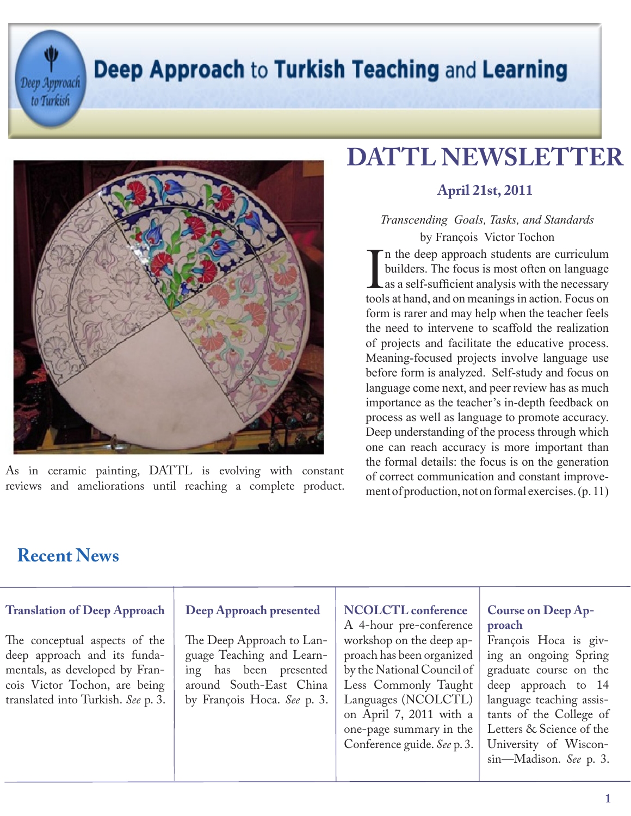Deep Approach

to Turkish

### Deep Approach to Turkish Teaching and Learning



As in ceramic painting, DATTL is evolving with constant reviews and ameliorations until reaching a complete product.

### **DATTL NEWSLETTER**

### **April 21st, 2011**

#### *Transcending Goals, Tasks, and Standards*  by François Victor Tochon

I n the deep approach students are curriculum builders. The focus is most often on language as a self-sufficient analysis with the necessary tools at hand, and on meanings in action. Focus on form is rarer and may help when the teacher feels the need to intervene to scaffold the realization of projects and facilitate the educative process. Meaning-focused projects involve language use before form is analyzed. Self-study and focus on language come next, and peer review has as much importance as the teacher's in-depth feedback on process as well as language to promote accuracy. Deep understanding of the process through which one can reach accuracy is more important than the formal details: the focus is on the generation of correct communication and constant improvement of production, not on formal exercises. (p. 11)

### **Recent News**

#### **Translation of Deep Approach**  The conceptual aspects of the deep approach and its fundamentals, as developed by Francois Victor Tochon, are being translated into Turkish. *See* p. 3. **Deep Approach presented** The Deep Approach to Language Teaching and Learning has been presented around South-East China by François Hoca. *See* p. 3. **NCOLCTL conference** A 4-hour pre-conference workshop on the deep approach has been organized by the National Council of Less Commonly Taught Languages (NCOLCTL) on April 7, 2011 with a one-page summary in the Conference guide. *See* p. 3. **Course on Deep Approach** François Hoca is giving an ongoing Spring graduate course on the deep approach to 14 language teaching assistants of the College of Letters & Science of the University of Wisconsin—Madison. *See* p. 3.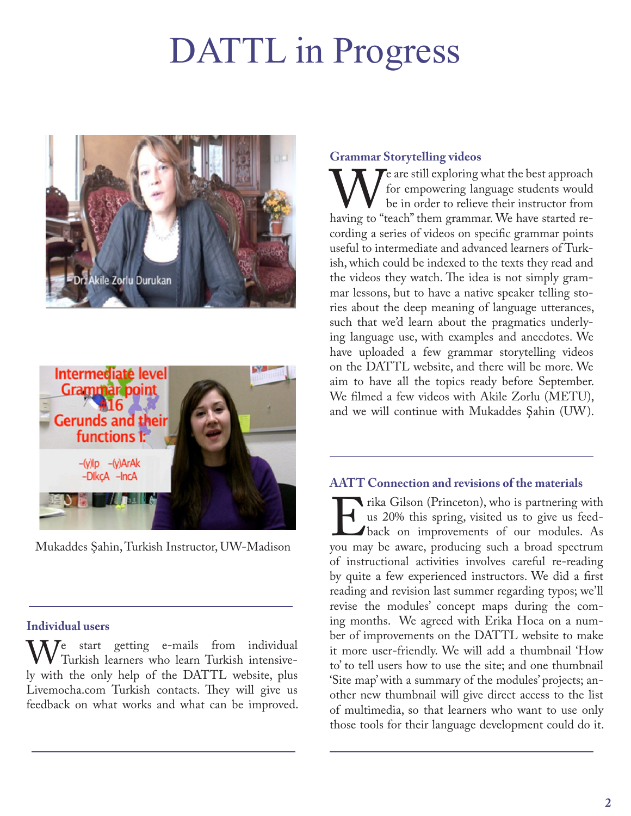# DATTL in Progress





Mukaddes Şahin, Turkish Instructor, UW-Madison

#### **Individual users**

We start getting e-mails from individual<br>Iv with the only help of the DATTL website plus Turkish learners who learn Turkish intensively with the only help of the DATTL website, plus Livemocha.com Turkish contacts. They will give us feedback on what works and what can be improved.

#### **Grammar Storytelling videos**

We are still exploring what the best approach for empowering language students would be in order to relieve their instructor from having to "teach" them grammar. We have started refor empowering language students would be in order to relieve their instructor from cording a series of videos on specific grammar points useful to intermediate and advanced learners of Turkish, which could be indexed to the texts they read and the videos they watch. The idea is not simply grammar lessons, but to have a native speaker telling stories about the deep meaning of language utterances, such that we'd learn about the pragmatics underlying language use, with examples and anecdotes. We have uploaded a few grammar storytelling videos on the DATTL website, and there will be more. We aim to have all the topics ready before September. We filmed a few videos with Akile Zorlu (METU), and we will continue with Mukaddes Şahin (UW).

#### **AATT Connection and revisions of the materials**

Frika Gilson (Princeton), who is partnering with<br>
us 20% this spring, visited us to give us feed-<br>
back on improvements of our modules. As<br>
you may be aware, producing such a broad spectrum us 20% this spring, visited us to give us feedback on improvements of our modules. As of instructional activities involves careful re-reading by quite a few experienced instructors. We did a first reading and revision last summer regarding typos; we'll revise the modules' concept maps during the coming months. We agreed with Erika Hoca on a number of improvements on the DATTL website to make it more user-friendly. We will add a thumbnail 'How to' to tell users how to use the site; and one thumbnail 'Site map' with a summary of the modules' projects; another new thumbnail will give direct access to the list of multimedia, so that learners who want to use only those tools for their language development could do it.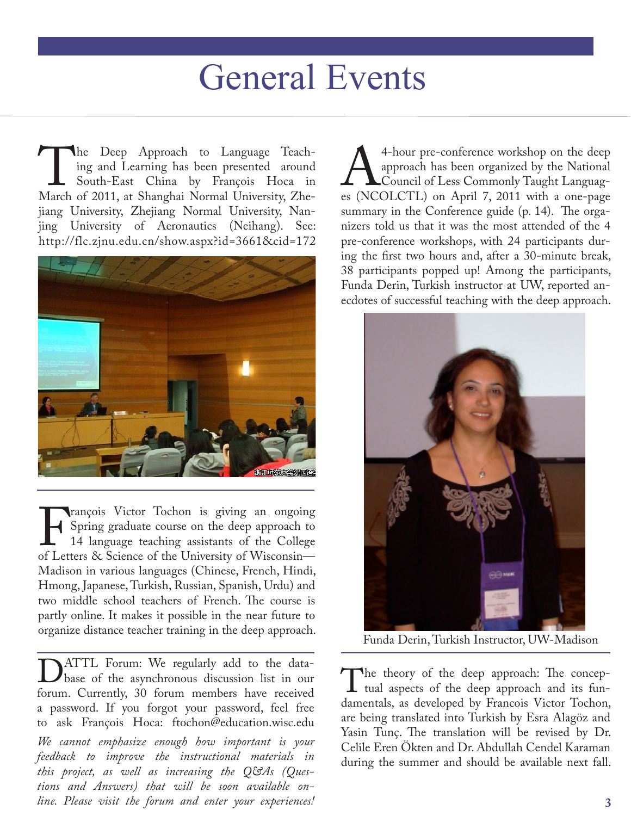## General Events

The Deep Approach to Language Teach-<br>
ing and Learning has been presented around<br>
South-East China by François Hoca in<br>
March of 2011, at Shanghai Normal University, Zheing and Learning has been presented around South-East China by François Hoca in jiang University, Zhejiang Normal University, Nanjing University of Aeronautics (Neihang). See: http://flc.zjnu.edu.cn/show.aspx?id=3661&cid=172



François Victor Tochon is giving an ongoing<br>
14 language teaching assistants of the College<br>
of Letters & Science of the University of Wisconsin— Spring graduate course on the deep approach to 14 language teaching assistants of the College Madison in various languages (Chinese, French, Hindi, Hmong, Japanese, Turkish, Russian, Spanish, Urdu) and two middle school teachers of French. The course is partly online. It makes it possible in the near future to organize distance teacher training in the deep approach.

DATTL Forum: We regularly add to the data-<br>base of the asynchronous discussion list in our<br>forum. Currently, 30 forum members have received base of the asynchronous discussion list in our forum. Currently, 30 forum members have received a password. If you forgot your password, feel free to ask François Hoca: ftochon@education.wisc.edu *We cannot emphasize enough how important is your feedback to improve the instructional materials in this project, as well as increasing the Q&As (Questions and Answers) that will be soon available on-*

*line. Please visit the forum and enter your experiences!* 

4-hour pre-conference workshop on the deep<br>approach has been organized by the National<br>es (NCOLCTL) on April 7, 2011 with a one-page approach has been organized by the National Council of Less Commonly Taught Languages (NCOLCTL) on April 7, 2011 with a one-page summary in the Conference guide (p. 14). The organizers told us that it was the most attended of the 4 pre-conference workshops, with 24 participants during the first two hours and, after a 30-minute break, 38 participants popped up! Among the participants, Funda Derin, Turkish instructor at UW, reported anecdotes of successful teaching with the deep approach.



Funda Derin, Turkish Instructor, UW-Madison

The theory of the deep approach: The conceptrual aspects of the deep approach and its fun-<br>damentals, as developed by Francois Victor Tochon. tual aspects of the deep approach and its fundamentals, as developed by Francois Victor Tochon, are being translated into Turkish by Esra Alagöz and Yasin Tunç. The translation will be revised by Dr. Celile Eren Ökten and Dr. Abdullah Cendel Karaman during the summer and should be available next fall.